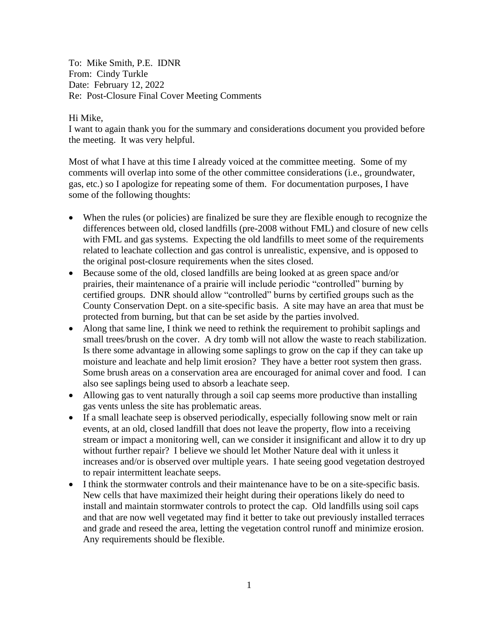To: Mike Smith, P.E. IDNR From: Cindy Turkle Date: February 12, 2022 Re: Post-Closure Final Cover Meeting Comments

## Hi Mike,

I want to again thank you for the summary and considerations document you provided before the meeting. It was very helpful.

Most of what I have at this time I already voiced at the committee meeting. Some of my comments will overlap into some of the other committee considerations (i.e., groundwater, gas, etc.) so I apologize for repeating some of them. For documentation purposes, I have some of the following thoughts:

- When the rules (or policies) are finalized be sure they are flexible enough to recognize the differences between old, closed landfills (pre-2008 without FML) and closure of new cells with FML and gas systems. Expecting the old landfills to meet some of the requirements related to leachate collection and gas control is unrealistic, expensive, and is opposed to the original post-closure requirements when the sites closed.
- Because some of the old, closed landfills are being looked at as green space and/or prairies, their maintenance of a prairie will include periodic "controlled" burning by certified groups. DNR should allow "controlled" burns by certified groups such as the County Conservation Dept. on a site-specific basis. A site may have an area that must be protected from burning, but that can be set aside by the parties involved.
- Along that same line, I think we need to rethink the requirement to prohibit saplings and small trees/brush on the cover. A dry tomb will not allow the waste to reach stabilization. Is there some advantage in allowing some saplings to grow on the cap if they can take up moisture and leachate and help limit erosion? They have a better root system then grass. Some brush areas on a conservation area are encouraged for animal cover and food. I can also see saplings being used to absorb a leachate seep.
- Allowing gas to vent naturally through a soil cap seems more productive than installing gas vents unless the site has problematic areas.
- If a small leachate seep is observed periodically, especially following snow melt or rain events, at an old, closed landfill that does not leave the property, flow into a receiving stream or impact a monitoring well, can we consider it insignificant and allow it to dry up without further repair? I believe we should let Mother Nature deal with it unless it increases and/or is observed over multiple years. I hate seeing good vegetation destroyed to repair intermittent leachate seeps.
- I think the stormwater controls and their maintenance have to be on a site-specific basis. New cells that have maximized their height during their operations likely do need to install and maintain stormwater controls to protect the cap. Old landfills using soil caps and that are now well vegetated may find it better to take out previously installed terraces and grade and reseed the area, letting the vegetation control runoff and minimize erosion. Any requirements should be flexible.